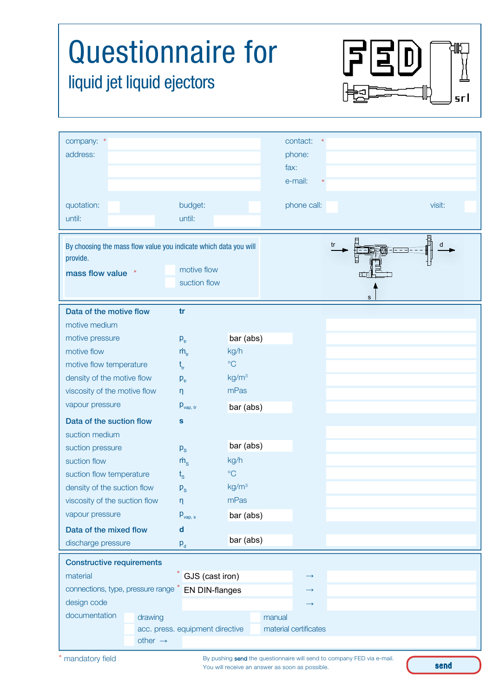| <b>Questionnaire for</b><br>liquid jet liquid ejectors<br>srl                                                                  |                                                                          |                   |                                                                          |         |        |
|--------------------------------------------------------------------------------------------------------------------------------|--------------------------------------------------------------------------|-------------------|--------------------------------------------------------------------------|---------|--------|
| company: *<br>address:                                                                                                         |                                                                          |                   | contact:<br>phone:<br>fax:<br>e-mail:                                    |         |        |
| quotation:<br>until:                                                                                                           | budget:<br>until:                                                        |                   | phone call:                                                              |         | visit: |
| By choosing the mass flow value you indicate which data you will<br>provide.<br>mass flow value                                | motive flow<br>suction flow                                              |                   |                                                                          | tr<br>s | d      |
| Data of the motive flow                                                                                                        | tr                                                                       |                   |                                                                          |         |        |
| motive medium                                                                                                                  |                                                                          |                   |                                                                          |         |        |
| motive pressure                                                                                                                | $p_{tr}$                                                                 | bar (abs)         |                                                                          |         |        |
| motive flow                                                                                                                    | $\dot{m}_{\rm tr}$                                                       | kg/h              |                                                                          |         |        |
| motive flow temperature                                                                                                        | $\mathsf{t}_{_{\sf tr}}$                                                 | $\rm ^{\circ}C$   |                                                                          |         |        |
| density of the motive flow                                                                                                     | $P_{tr}$                                                                 | kg/m <sup>3</sup> |                                                                          |         |        |
| viscosity of the motive flow                                                                                                   | η                                                                        | mPas              |                                                                          |         |        |
| vapour pressure                                                                                                                | $p_{\text{vap, tr}}$                                                     | bar (abs)         |                                                                          |         |        |
| Data of the suction flow                                                                                                       | S                                                                        |                   |                                                                          |         |        |
| suction medium                                                                                                                 |                                                                          |                   |                                                                          |         |        |
| suction pressure                                                                                                               | $p_{\rm s}$                                                              | bar (abs)         |                                                                          |         |        |
| suction flow                                                                                                                   | $\dot{m}_{s}$                                                            | kg/h              |                                                                          |         |        |
| suction flow temperature                                                                                                       | $t_{\rm s}$                                                              | $\rm ^{\circ}C$   |                                                                          |         |        |
| density of the suction flow                                                                                                    | $P_{\rm S}$                                                              | kg/m <sup>3</sup> |                                                                          |         |        |
| viscosity of the suction flow                                                                                                  | η                                                                        | mPas              |                                                                          |         |        |
| vapour pressure                                                                                                                | $p_{\text{vap, s}}$                                                      | bar (abs)         |                                                                          |         |        |
| Data of the mixed flow                                                                                                         | $\mathbf d$                                                              |                   |                                                                          |         |        |
| discharge pressure                                                                                                             | $p_{d}$                                                                  | bar (abs)         |                                                                          |         |        |
| <b>Constructive requirements</b><br>material<br>connections, type, pressure range *<br>design code<br>documentation<br>drawing | $*$ GJS (cast iron)<br>EN DIN-flanges<br>acc. press. equipment directive | manual            | $\rightarrow$<br>$\rightarrow$<br>$\rightarrow$<br>material certificates |         |        |
| other $\rightarrow$                                                                                                            |                                                                          |                   |                                                                          |         |        |

By pushing send the questionnaire will send to company FED via e-mail. You will receive an answer as soon as possible.

send